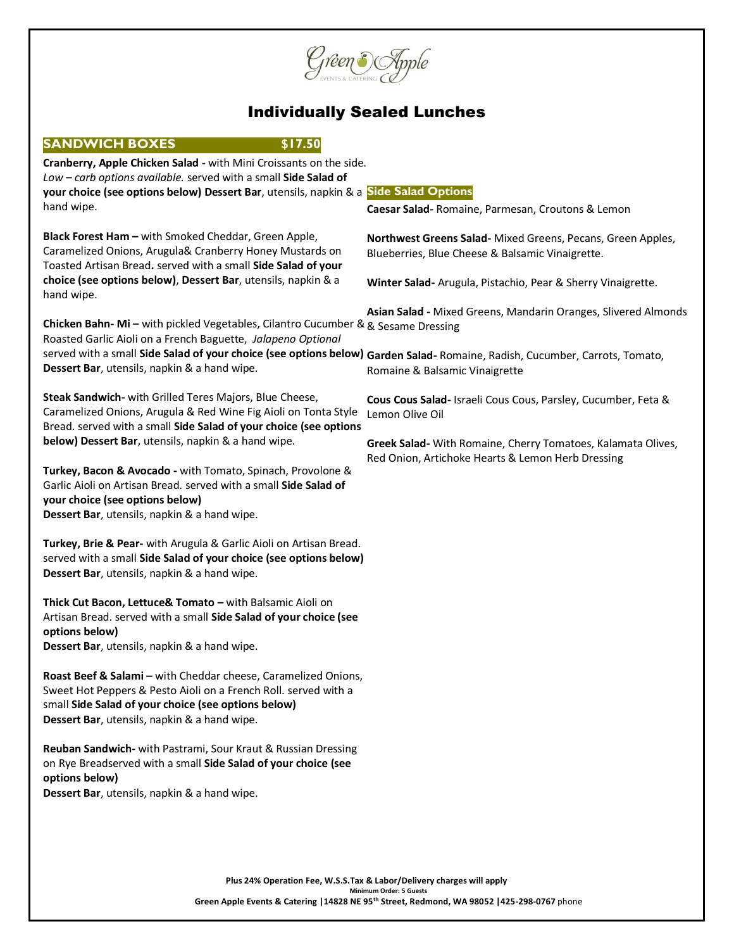

# Individually Sealed Lunches

| <b>SANDWICH BOXES</b><br>\$17.50                                                                                                        |                                                                                                                   |
|-----------------------------------------------------------------------------------------------------------------------------------------|-------------------------------------------------------------------------------------------------------------------|
| Cranberry, Apple Chicken Salad - with Mini Croissants on the side.                                                                      |                                                                                                                   |
| Low - carb options available. served with a small Side Salad of                                                                         |                                                                                                                   |
| your choice (see options below) Dessert Bar, utensils, napkin & a Side Salad Options                                                    |                                                                                                                   |
| hand wipe.                                                                                                                              | Caesar Salad-Romaine, Parmesan, Croutons & Lemon                                                                  |
|                                                                                                                                         |                                                                                                                   |
| Black Forest Ham - with Smoked Cheddar, Green Apple,                                                                                    | Northwest Greens Salad-Mixed Greens, Pecans, Green Apples,                                                        |
| Caramelized Onions, Arugula& Cranberry Honey Mustards on<br>Toasted Artisan Bread. served with a small Side Salad of your               | Blueberries, Blue Cheese & Balsamic Vinaigrette.                                                                  |
| choice (see options below), Dessert Bar, utensils, napkin & a                                                                           |                                                                                                                   |
| hand wipe.                                                                                                                              | Winter Salad- Arugula, Pistachio, Pear & Sherry Vinaigrette.                                                      |
|                                                                                                                                         | Asian Salad - Mixed Greens, Mandarin Oranges, Slivered Almonds                                                    |
| Chicken Bahn- Mi - with pickled Vegetables, Cilantro Cucumber & & Sesame Dressing                                                       |                                                                                                                   |
| Roasted Garlic Aioli on a French Baguette, Jalapeno Optional                                                                            |                                                                                                                   |
| served with a small Side Salad of your choice (see options below) Garden Salad- Romaine, Radish, Cucumber, Carrots, Tomato,             |                                                                                                                   |
| Dessert Bar, utensils, napkin & a hand wipe.                                                                                            | Romaine & Balsamic Vinaigrette                                                                                    |
|                                                                                                                                         |                                                                                                                   |
| Steak Sandwich- with Grilled Teres Majors, Blue Cheese,                                                                                 | Cous Cous Salad- Israeli Cous Cous, Parsley, Cucumber, Feta &                                                     |
| Caramelized Onions, Arugula & Red Wine Fig Aioli on Tonta Style<br>Bread. served with a small Side Salad of your choice (see options    | Lemon Olive Oil                                                                                                   |
| below) Dessert Bar, utensils, napkin & a hand wipe.                                                                                     |                                                                                                                   |
|                                                                                                                                         | Greek Salad- With Romaine, Cherry Tomatoes, Kalamata Olives,<br>Red Onion, Artichoke Hearts & Lemon Herb Dressing |
| Turkey, Bacon & Avocado - with Tomato, Spinach, Provolone &                                                                             |                                                                                                                   |
| Garlic Aioli on Artisan Bread. served with a small Side Salad of                                                                        |                                                                                                                   |
| your choice (see options below)                                                                                                         |                                                                                                                   |
| Dessert Bar, utensils, napkin & a hand wipe.                                                                                            |                                                                                                                   |
|                                                                                                                                         |                                                                                                                   |
| Turkey, Brie & Pear- with Arugula & Garlic Aioli on Artisan Bread.<br>served with a small Side Salad of your choice (see options below) |                                                                                                                   |
| Dessert Bar, utensils, napkin & a hand wipe.                                                                                            |                                                                                                                   |
|                                                                                                                                         |                                                                                                                   |
| Thick Cut Bacon, Lettuce& Tomato - with Balsamic Aioli on                                                                               |                                                                                                                   |
| Artisan Bread. served with a small Side Salad of your choice (see                                                                       |                                                                                                                   |
| options below)                                                                                                                          |                                                                                                                   |
| Dessert Bar, utensils, napkin & a hand wipe.                                                                                            |                                                                                                                   |
|                                                                                                                                         |                                                                                                                   |
| Roast Beef & Salami - with Cheddar cheese, Caramelized Onions,<br>Sweet Hot Peppers & Pesto Aioli on a French Roll. served with a       |                                                                                                                   |
| small Side Salad of your choice (see options below)                                                                                     |                                                                                                                   |
| Dessert Bar, utensils, napkin & a hand wipe.                                                                                            |                                                                                                                   |
|                                                                                                                                         |                                                                                                                   |
| Reuban Sandwich- with Pastrami, Sour Kraut & Russian Dressing                                                                           |                                                                                                                   |
| on Rye Breadserved with a small Side Salad of your choice (see                                                                          |                                                                                                                   |
| options below)                                                                                                                          |                                                                                                                   |
| Dessert Bar, utensils, napkin & a hand wipe.                                                                                            |                                                                                                                   |
|                                                                                                                                         |                                                                                                                   |